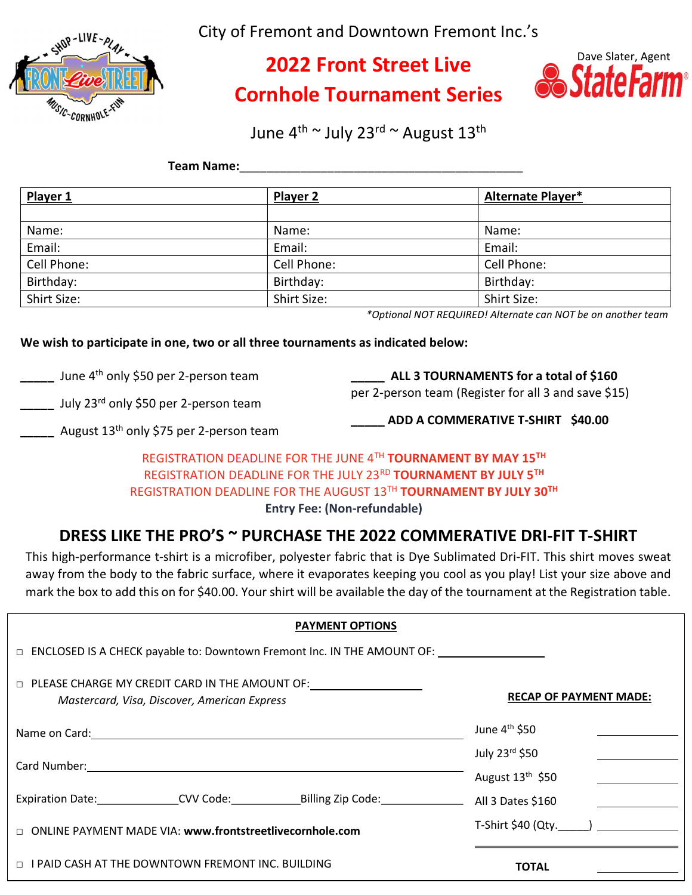

City of Fremont and Downtown Fremont Inc.'s

# 2022 Front Street Live Cornhole Tournament Series



June 4<sup>th ~</sup> July 23<sup>rd</sup> ~ August 13<sup>th</sup>

# Team Name:\_\_\_\_\_\_\_\_\_\_\_\_\_\_\_\_\_\_\_\_\_\_\_\_\_\_\_\_\_\_\_\_\_\_\_\_\_\_\_\_\_\_

| Player 1    | <b>Player 2</b> | Alternate Player* |
|-------------|-----------------|-------------------|
|             |                 |                   |
| Name:       | Name:           | Name:             |
| Email:      | Email:          | Email:            |
| Cell Phone: | Cell Phone:     | Cell Phone:       |
| Birthday:   | Birthday:       | Birthday:         |
| Shirt Size: | Shirt Size:     | Shirt Size:       |

\*Optional NOT REQUIRED! Alternate can NOT be on another team

# We wish to participate in one, two or all three tournaments as indicated below:

Lacknum June 4<sup>th</sup> only \$50 per 2-person team

\_\_\_\_\_ ALL 3 TOURNAMENTS for a total of \$160 per 2-person team (Register for all 3 and save \$15)

July 23<sup>rd</sup> only \$50 per 2-person team

ADD A COMMERATIVE T-SHIRT \$40.00

August 13<sup>th</sup> only \$75 per 2-person team

# REGISTRATION DEADLINE FOR THE JUNE 4TH TOURNAMENT BY MAY 15TH REGISTRATION DEADLINE FOR THE JULY 23RD TOURNAMENT BY JULY 5TH REGISTRATION DEADLINE FOR THE AUGUST 13TH TOURNAMENT BY JULY 30TH

Entry Fee: (Non-refundable)

# DRESS LIKE THE PRO'S ~ PURCHASE THE 2022 COMMERATIVE DRI-FIT T-SHIRT

This high-performance t-shirt is a microfiber, polyester fabric that is Dye Sublimated Dri-FIT. This shirt moves sweat away from the body to the fabric surface, where it evaporates keeping you cool as you play! List your size above and mark the box to add this on for \$40.00. Your shirt will be available the day of the tournament at the Registration table.

| <b>PAYMENT OPTIONS</b>                                                                                                                                                                                                         |                                          |
|--------------------------------------------------------------------------------------------------------------------------------------------------------------------------------------------------------------------------------|------------------------------------------|
| $\Box$ ENCLOSED IS A CHECK payable to: Downtown Fremont Inc. IN THE AMOUNT OF:                                                                                                                                                 |                                          |
| $\Box$ PLEASE CHARGE MY CREDIT CARD IN THE AMOUNT OF:<br>Mastercard, Visa, Discover, American Express                                                                                                                          | <b>RECAP OF PAYMENT MADE:</b>            |
| Name on Card: 1990 and 2000 and 2000 and 2000 and 2000 and 2000 and 2000 and 2000 and 2000 and 2000 and 2000 and 2000 and 2000 and 2000 and 2000 and 2000 and 2000 and 2000 and 2000 and 2000 and 2000 and 2000 and 2000 and 2 | June $4th$ \$50                          |
|                                                                                                                                                                                                                                | July 23rd \$50<br>August $13th$ \$50     |
| Expiration Date: CVV Code: Billing Zip Code:                                                                                                                                                                                   | All 3 Dates \$160                        |
| □ ONLINE PAYMENT MADE VIA: www.frontstreetlivecornhole.com                                                                                                                                                                     | T-Shirt \$40 (Qty._____) _______________ |
| $\Box$ I PAID CASH AT THE DOWNTOWN FREMONT INC. BUILDING                                                                                                                                                                       | <b>TOTAL</b>                             |